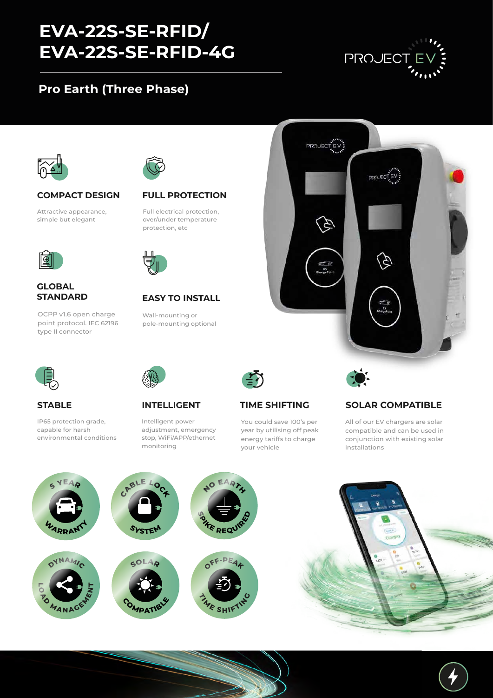# **EVA-22S-SE-RFID/ EVA-22S-SE-RFID-4G**

## **Pro Earth (Three Phase)**





#### **COMPACT DESIGN**

Attractive appearance, simple but elegant



#### **GLOBAL STANDARD**

OCPP v1.6 open charge point protocol. IEC 62196 type II connector



### **FULL PROTECTION**

Full electrical protection, over/under temperature protection, etc



### **EASY TO INSTALL**

Wall-mounting or pole-mounting optional





### **STABLE**

IP65 protection grade, capable for harsh environmental conditions



**INTELLIGENT**

Intelligent power adjustment, emergency stop, WiFi/APP/ethernet monitoring



**TIME SHIFTING**

You could save 100's per year by utilising off peak energy tariffs to charge your vehicle



### **SOLAR COMPATIBLE**

All of our EV chargers are solar compatible and can be used in conjunction with existing solar installations